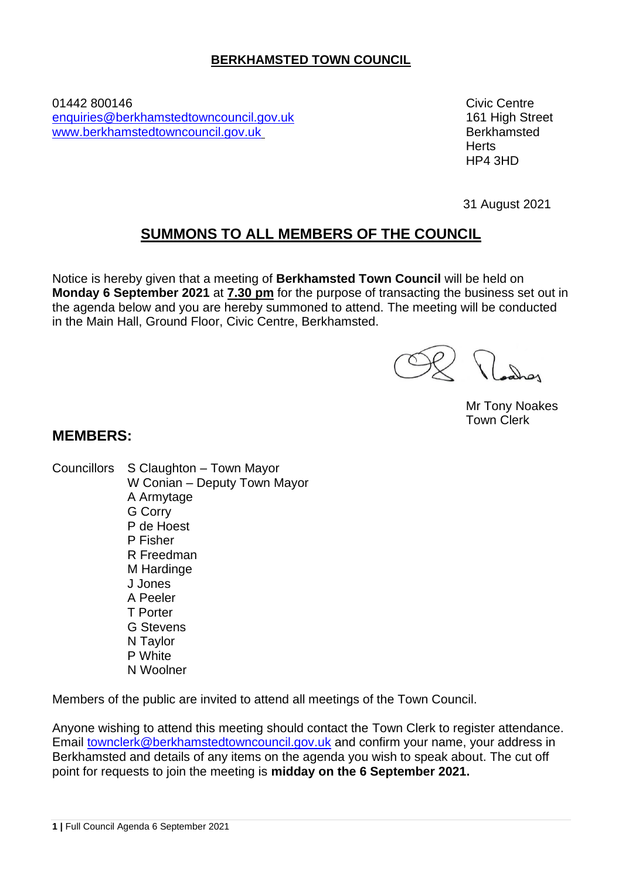# **BERKHAMSTED TOWN COUNCIL**

01442 800146 Civic Centre [enquiries@berkhamstedtowncouncil.gov.uk](mailto:enquiries@berkhamstedtowncouncil.gov.uk) 161 High Street [www.berkhamstedtowncouncil.gov.uk](http://www.berkhamstedtowncouncil.gov.uk/) Berkhamsted

**Herts** HP4 3HD

31 August 2021

# **SUMMONS TO ALL MEMBERS OF THE COUNCIL**

Notice is hereby given that a meeting of **Berkhamsted Town Council** will be held on **Monday 6 September 2021** at **7.30 pm** for the purpose of transacting the business set out in the agenda below and you are hereby summoned to attend. The meeting will be conducted in the Main Hall, Ground Floor, Civic Centre, Berkhamsted.

Roches

Mr Tony Noakes Town Clerk

# **MEMBERS:**

Councillors S Claughton – Town Mayor W Conian – Deputy Town Mayor A Armytage G Corry P de Hoest P Fisher R Freedman M Hardinge J Jones A Peeler T Porter G Stevens N Taylor P White N Woolner

Members of the public are invited to attend all meetings of the Town Council.

Anyone wishing to attend this meeting should contact the Town Clerk to register attendance. Email [townclerk@berkhamstedtowncouncil.gov.uk](mailto:townclerk@berkhamstedtowncouncil.gov.uk) and confirm your name, your address in Berkhamsted and details of any items on the agenda you wish to speak about. The cut off point for requests to join the meeting is **midday on the 6 September 2021.**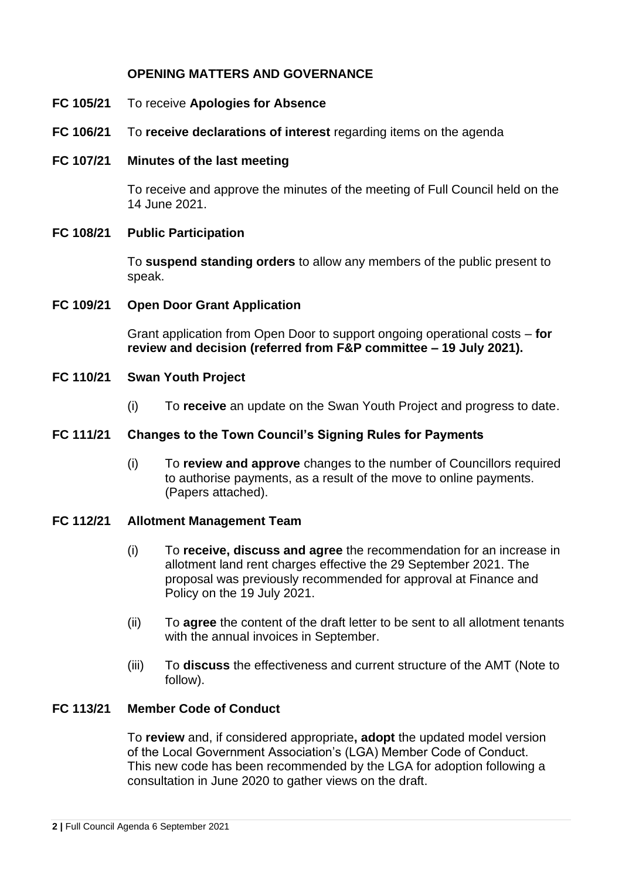### **OPENING MATTERS AND GOVERNANCE**

- **FC 105/21** To receive **Apologies for Absence**
- **FC 106/21** To **receive declarations of interest** regarding items on the agenda
- **FC 107/21 Minutes of the last meeting**

To receive and approve the minutes of the meeting of Full Council held on the 14 June 2021.

#### **FC 108/21 Public Participation**

To **suspend standing orders** to allow any members of the public present to speak.

#### **FC 109/21 Open Door Grant Application**

Grant application from Open Door to support ongoing operational costs – **for review and decision (referred from F&P committee – 19 July 2021).**

#### **FC 110/21 Swan Youth Project**

(i) To **receive** an update on the Swan Youth Project and progress to date.

#### **FC 111/21 Changes to the Town Council's Signing Rules for Payments**

(i) To **review and approve** changes to the number of Councillors required to authorise payments, as a result of the move to online payments. (Papers attached).

#### **FC 112/21 Allotment Management Team**

- (i) To **receive, discuss and agree** the recommendation for an increase in allotment land rent charges effective the 29 September 2021. The proposal was previously recommended for approval at Finance and Policy on the 19 July 2021.
- (ii) To **agree** the content of the draft letter to be sent to all allotment tenants with the annual invoices in September.
- (iii) To **discuss** the effectiveness and current structure of the AMT (Note to follow).

### **FC 113/21 Member Code of Conduct**

To **review** and, if considered appropriate**, adopt** the updated model version of the Local Government Association's (LGA) Member Code of Conduct. This new code has been recommended by the LGA for adoption following a consultation in June 2020 to gather views on the draft.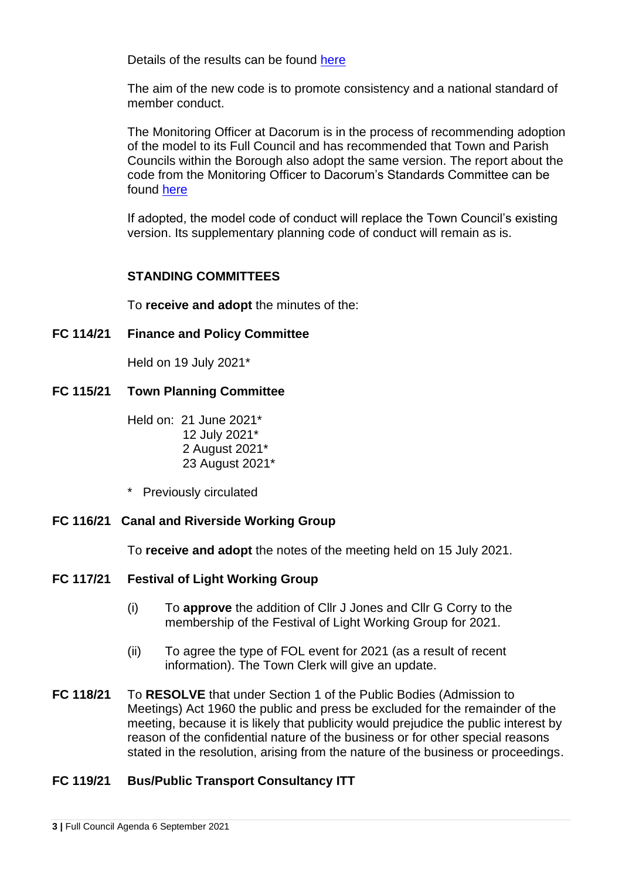Details of the results can be found [here](https://www.local.gov.uk/publications/lga-model-member-code-conduct-consultation-response-analysis-november-2020)

The aim of the new code is to promote consistency and a national standard of member conduct.

The Monitoring Officer at Dacorum is in the process of recommending adoption of the model to its Full Council and has recommended that Town and Parish Councils within the Borough also adopt the same version. The report about the code from the Monitoring Officer to Dacorum's Standards Committee can be found [here](https://democracy.dacorum.gov.uk/documents/s27978/Standards%20Agenda%202021%20V2%20March.pdf)

If adopted, the model code of conduct will replace the Town Council's existing version. Its supplementary planning code of conduct will remain as is.

# **STANDING COMMITTEES**

To **receive and adopt** the minutes of the:

**FC 114/21 Finance and Policy Committee**

Held on 19 July 2021\*

**FC 115/21 Town Planning Committee** 

Held on: 21 June 2021\* 12 July 2021\* 2 August 2021\* 23 August 2021\*

\* Previously circulated

# **FC 116/21 Canal and Riverside Working Group**

To **receive and adopt** the notes of the meeting held on 15 July 2021.

#### **FC 117/21 Festival of Light Working Group**

- (i) To **approve** the addition of Cllr J Jones and Cllr G Corry to the membership of the Festival of Light Working Group for 2021.
- (ii) To agree the type of FOL event for 2021 (as a result of recent information). The Town Clerk will give an update.
- **FC 118/21** To **RESOLVE** that under Section 1 of the Public Bodies (Admission to Meetings) Act 1960 the public and press be excluded for the remainder of the meeting, because it is likely that publicity would prejudice the public interest by reason of the confidential nature of the business or for other special reasons stated in the resolution, arising from the nature of the business or proceedings.

# **FC 119/21 Bus/Public Transport Consultancy ITT**